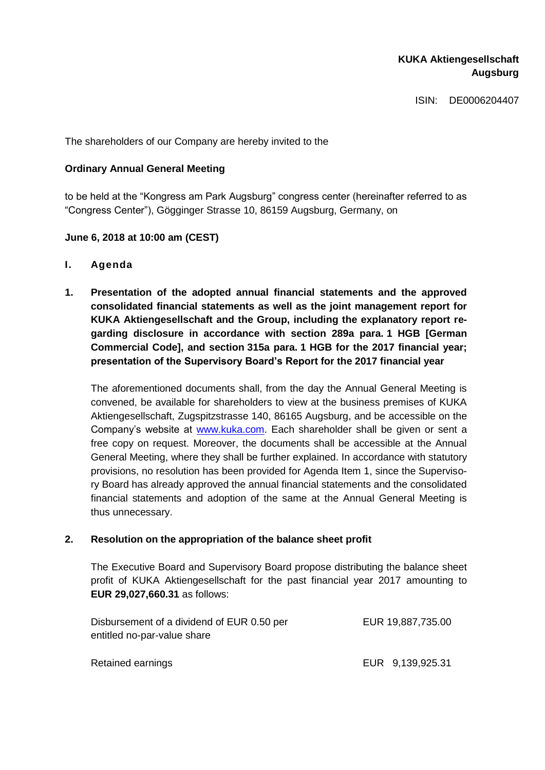# **KUKA Aktiengesellschaft Augsburg**

ISIN: DE0006204407

The shareholders of our Company are hereby invited to the

## **Ordinary Annual General Meeting**

to be held at the "Kongress am Park Augsburg" congress center (hereinafter referred to as "Congress Center"), Gögginger Strasse 10, 86159 Augsburg, Germany, on

### **June 6, 2018 at 10:00 am (CEST)**

- **I. Agenda**
- **1. Presentation of the adopted annual financial statements and the approved consolidated financial statements as well as the joint management report for KUKA Aktiengesellschaft and the Group, including the explanatory report regarding disclosure in accordance with section 289a para. 1 HGB [German Commercial Code], and section 315a para. 1 HGB for the 2017 financial year; presentation of the Supervisory Board's Report for the 2017 financial year**

The aforementioned documents shall, from the day the Annual General Meeting is convened, be available for shareholders to view at the business premises of KUKA Aktiengesellschaft, Zugspitzstrasse 140, 86165 Augsburg, and be accessible on the Company's website at [www.kuka.com.](http://www.kuka.com/) Each shareholder shall be given or sent a free copy on request. Moreover, the documents shall be accessible at the Annual General Meeting, where they shall be further explained. In accordance with statutory provisions, no resolution has been provided for Agenda Item 1, since the Supervisory Board has already approved the annual financial statements and the consolidated financial statements and adoption of the same at the Annual General Meeting is thus unnecessary.

#### **2. Resolution on the appropriation of the balance sheet profit**

The Executive Board and Supervisory Board propose distributing the balance sheet profit of KUKA Aktiengesellschaft for the past financial year 2017 amounting to **EUR 29,027,660.31** as follows:

| Disbursement of a dividend of EUR 0.50 per | EUR 19,887,735.00 |
|--------------------------------------------|-------------------|
| entitled no-par-value share                |                   |
|                                            |                   |
| Retained earnings                          | EUR 9,139,925.31  |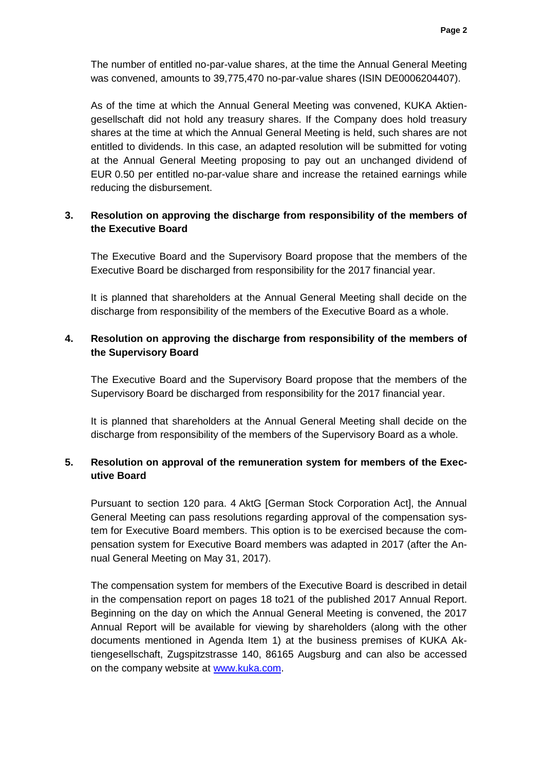The number of entitled no-par-value shares, at the time the Annual General Meeting was convened, amounts to 39,775,470 no-par-value shares (ISIN DE0006204407).

As of the time at which the Annual General Meeting was convened, KUKA Aktiengesellschaft did not hold any treasury shares. If the Company does hold treasury shares at the time at which the Annual General Meeting is held, such shares are not entitled to dividends. In this case, an adapted resolution will be submitted for voting at the Annual General Meeting proposing to pay out an unchanged dividend of EUR 0.50 per entitled no-par-value share and increase the retained earnings while reducing the disbursement.

# **3. Resolution on approving the discharge from responsibility of the members of the Executive Board**

The Executive Board and the Supervisory Board propose that the members of the Executive Board be discharged from responsibility for the 2017 financial year.

It is planned that shareholders at the Annual General Meeting shall decide on the discharge from responsibility of the members of the Executive Board as a whole.

# **4. Resolution on approving the discharge from responsibility of the members of the Supervisory Board**

The Executive Board and the Supervisory Board propose that the members of the Supervisory Board be discharged from responsibility for the 2017 financial year.

It is planned that shareholders at the Annual General Meeting shall decide on the discharge from responsibility of the members of the Supervisory Board as a whole.

# **5. Resolution on approval of the remuneration system for members of the Executive Board**

Pursuant to section 120 para. 4 AktG [German Stock Corporation Act], the Annual General Meeting can pass resolutions regarding approval of the compensation system for Executive Board members. This option is to be exercised because the compensation system for Executive Board members was adapted in 2017 (after the Annual General Meeting on May 31, 2017).

The compensation system for members of the Executive Board is described in detail in the compensation report on pages 18 to21 of the published 2017 Annual Report. Beginning on the day on which the Annual General Meeting is convened, the 2017 Annual Report will be available for viewing by shareholders (along with the other documents mentioned in Agenda Item 1) at the business premises of KUKA Aktiengesellschaft, Zugspitzstrasse 140, 86165 Augsburg and can also be accessed on the company website at [www.kuka.com.](http://www.kuka.com/)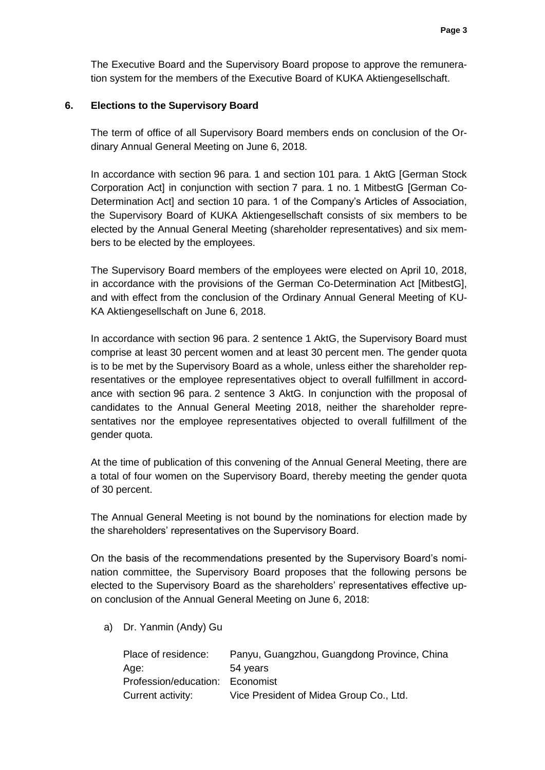The Executive Board and the Supervisory Board propose to approve the remuneration system for the members of the Executive Board of KUKA Aktiengesellschaft.

#### **6. Elections to the Supervisory Board**

The term of office of all Supervisory Board members ends on conclusion of the Ordinary Annual General Meeting on June 6, 2018.

In accordance with section 96 para. 1 and section 101 para. 1 AktG [German Stock Corporation Act] in conjunction with section 7 para. 1 no. 1 MitbestG [German Co-Determination Act] and section 10 para. 1 of the Company's Articles of Association, the Supervisory Board of KUKA Aktiengesellschaft consists of six members to be elected by the Annual General Meeting (shareholder representatives) and six members to be elected by the employees.

The Supervisory Board members of the employees were elected on April 10, 2018, in accordance with the provisions of the German Co-Determination Act [MitbestG], and with effect from the conclusion of the Ordinary Annual General Meeting of KU-KA Aktiengesellschaft on June 6, 2018.

In accordance with section 96 para. 2 sentence 1 AktG, the Supervisory Board must comprise at least 30 percent women and at least 30 percent men. The gender quota is to be met by the Supervisory Board as a whole, unless either the shareholder representatives or the employee representatives object to overall fulfillment in accordance with section 96 para. 2 sentence 3 AktG. In conjunction with the proposal of candidates to the Annual General Meeting 2018, neither the shareholder representatives nor the employee representatives objected to overall fulfillment of the gender quota.

At the time of publication of this convening of the Annual General Meeting, there are a total of four women on the Supervisory Board, thereby meeting the gender quota of 30 percent.

The Annual General Meeting is not bound by the nominations for election made by the shareholders' representatives on the Supervisory Board.

On the basis of the recommendations presented by the Supervisory Board's nomination committee, the Supervisory Board proposes that the following persons be elected to the Supervisory Board as the shareholders' representatives effective upon conclusion of the Annual General Meeting on June 6, 2018:

a) Dr. Yanmin (Andy) Gu

| Place of residence:             | Panyu, Guangzhou, Guangdong Province, China |
|---------------------------------|---------------------------------------------|
| Age:                            | 54 years                                    |
| Profession/education: Economist |                                             |
| Current activity:               | Vice President of Midea Group Co., Ltd.     |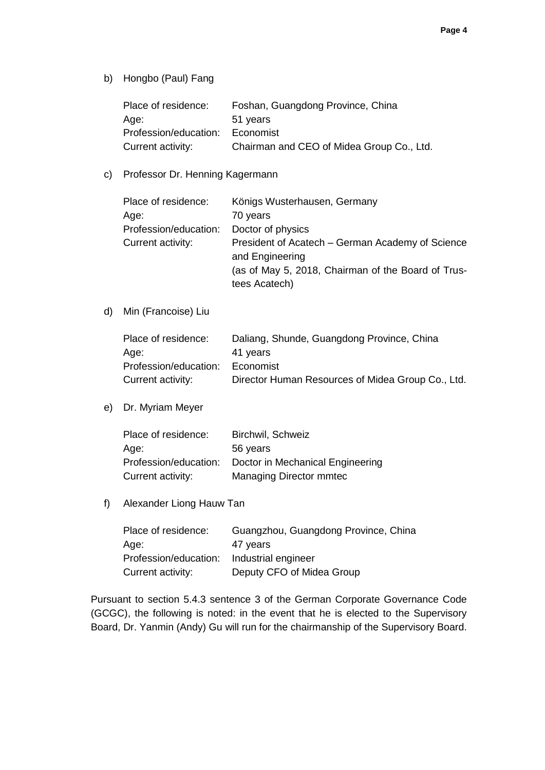b) Hongbo (Paul) Fang

| Place of residence:   | Foshan, Guangdong Province, China         |
|-----------------------|-------------------------------------------|
| Age:                  | 51 years                                  |
| Profession/education: | Economist                                 |
| Current activity:     | Chairman and CEO of Midea Group Co., Ltd. |

#### c) Professor Dr. Henning Kagermann

| Place of residence:   | Königs Wusterhausen, Germany                                        |
|-----------------------|---------------------------------------------------------------------|
| Age:                  | 70 years                                                            |
| Profession/education: | Doctor of physics                                                   |
| Current activity:     | President of Acatech – German Academy of Science<br>and Engineering |
|                       | (as of May 5, 2018, Chairman of the Board of Trus-<br>tees Acatech) |

d) Min (Francoise) Liu

| Place of residence:   | Daliang, Shunde, Guangdong Province, China        |
|-----------------------|---------------------------------------------------|
| Age:                  | 41 years                                          |
| Profession/education: | Economist                                         |
| Current activity:     | Director Human Resources of Midea Group Co., Ltd. |

e) Dr. Myriam Meyer

| Place of residence:   | Birchwil, Schweiz                |
|-----------------------|----------------------------------|
| Age:                  | 56 years                         |
| Profession/education: | Doctor in Mechanical Engineering |
| Current activity:     | <b>Managing Director mmtec</b>   |

f) Alexander Liong Hauw Tan

| Place of residence:   | Guangzhou, Guangdong Province, China |
|-----------------------|--------------------------------------|
| Age:                  | 47 years                             |
| Profession/education: | Industrial engineer                  |
| Current activity:     | Deputy CFO of Midea Group            |

Pursuant to section 5.4.3 sentence 3 of the German Corporate Governance Code (GCGC), the following is noted: in the event that he is elected to the Supervisory Board, Dr. Yanmin (Andy) Gu will run for the chairmanship of the Supervisory Board.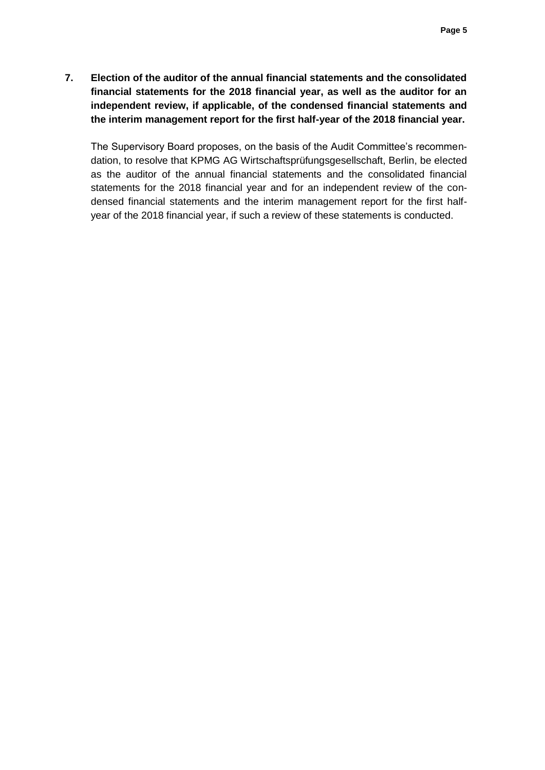**7. Election of the auditor of the annual financial statements and the consolidated financial statements for the 2018 financial year, as well as the auditor for an independent review, if applicable, of the condensed financial statements and the interim management report for the first half-year of the 2018 financial year.**

The Supervisory Board proposes, on the basis of the Audit Committee's recommendation, to resolve that KPMG AG Wirtschaftsprüfungsgesellschaft, Berlin, be elected as the auditor of the annual financial statements and the consolidated financial statements for the 2018 financial year and for an independent review of the condensed financial statements and the interim management report for the first halfyear of the 2018 financial year, if such a review of these statements is conducted.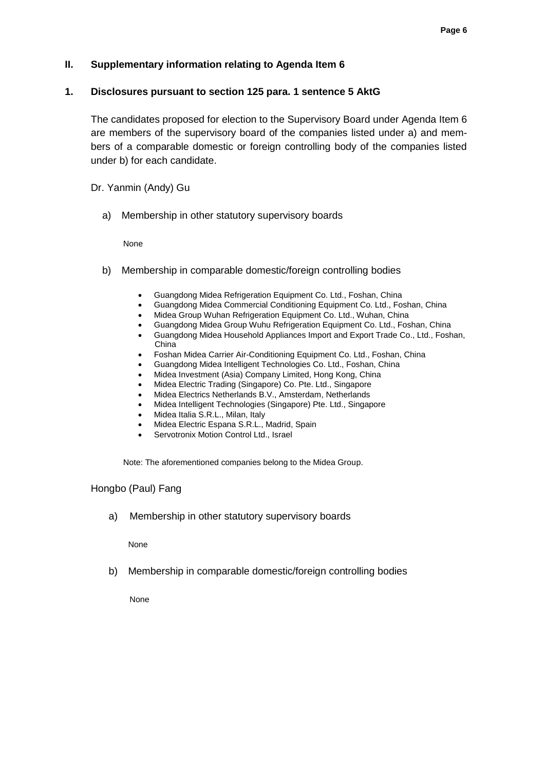## **II. Supplementary information relating to Agenda Item 6**

#### **1. Disclosures pursuant to section 125 para. 1 sentence 5 AktG**

The candidates proposed for election to the Supervisory Board under Agenda Item 6 are members of the supervisory board of the companies listed under a) and members of a comparable domestic or foreign controlling body of the companies listed under b) for each candidate.

Dr. Yanmin (Andy) Gu

a) Membership in other statutory supervisory boards

None

- b) Membership in comparable domestic/foreign controlling bodies
	- Guangdong Midea Refrigeration Equipment Co. Ltd., Foshan, China
	- Guangdong Midea Commercial Conditioning Equipment Co. Ltd., Foshan, China
	- Midea Group Wuhan Refrigeration Equipment Co. Ltd., Wuhan, China
	- Guangdong Midea Group Wuhu Refrigeration Equipment Co. Ltd., Foshan, China
	- Guangdong Midea Household Appliances Import and Export Trade Co., Ltd., Foshan, China
	- Foshan Midea Carrier Air-Conditioning Equipment Co. Ltd., Foshan, China
	- Guangdong Midea Intelligent Technologies Co. Ltd., Foshan, China
	- Midea Investment (Asia) Company Limited, Hong Kong, China
	- Midea Electric Trading (Singapore) Co. Pte. Ltd., Singapore
	- Midea Electrics Netherlands B.V., Amsterdam, Netherlands
	- Midea Intelligent Technologies (Singapore) Pte. Ltd., Singapore
	- Midea Italia S.R.L., Milan, Italy
	- Midea Electric Espana S.R.L., Madrid, Spain
	- Servotronix Motion Control Ltd., Israel

Note: The aforementioned companies belong to the Midea Group.

#### Hongbo (Paul) Fang

a) Membership in other statutory supervisory boards

None

b) Membership in comparable domestic/foreign controlling bodies

None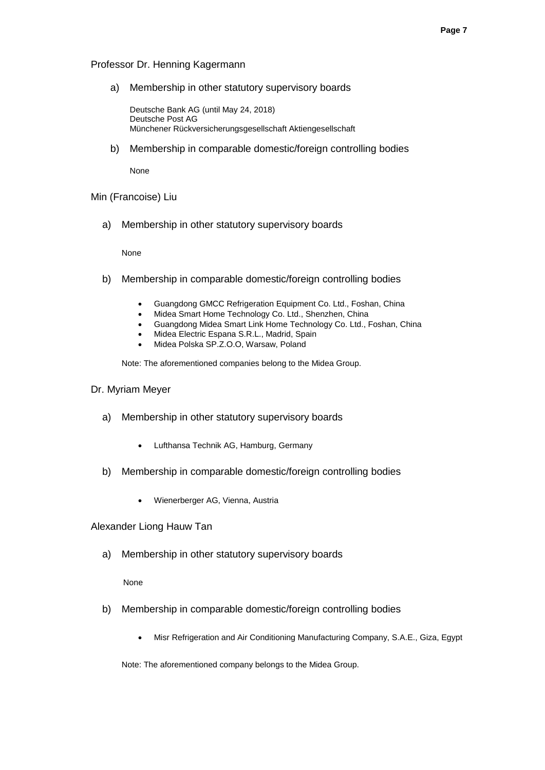#### Professor Dr. Henning Kagermann

a) Membership in other statutory supervisory boards

Deutsche Bank AG (until May 24, 2018) Deutsche Post AG Münchener Rückversicherungsgesellschaft Aktiengesellschaft

b) Membership in comparable domestic/foreign controlling bodies

None

#### Min (Francoise) Liu

a) Membership in other statutory supervisory boards

None

- b) Membership in comparable domestic/foreign controlling bodies
	- Guangdong GMCC Refrigeration Equipment Co. Ltd., Foshan, China
	- Midea Smart Home Technology Co. Ltd., Shenzhen, China
	- Guangdong Midea Smart Link Home Technology Co. Ltd., Foshan, China
	- Midea Electric Espana S.R.L., Madrid, Spain
	- Midea Polska SP.Z.O.O, Warsaw, Poland

Note: The aforementioned companies belong to the Midea Group.

## Dr. Myriam Meyer

- a) Membership in other statutory supervisory boards
	- Lufthansa Technik AG, Hamburg, Germany
- b) Membership in comparable domestic/foreign controlling bodies
	- Wienerberger AG, Vienna, Austria

#### Alexander Liong Hauw Tan

a) Membership in other statutory supervisory boards

#### None

- b) Membership in comparable domestic/foreign controlling bodies
	- Misr Refrigeration and Air Conditioning Manufacturing Company, S.A.E., Giza, Egypt

Note: The aforementioned company belongs to the Midea Group.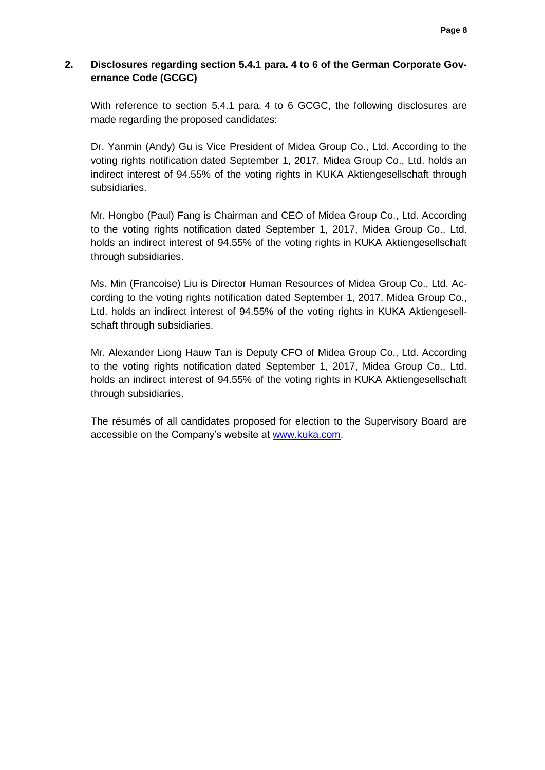# **2. Disclosures regarding section 5.4.1 para. 4 to 6 of the German Corporate Governance Code (GCGC)**

With reference to section 5.4.1 para. 4 to 6 GCGC, the following disclosures are made regarding the proposed candidates:

Dr. Yanmin (Andy) Gu is Vice President of Midea Group Co., Ltd. According to the voting rights notification dated September 1, 2017, Midea Group Co., Ltd. holds an indirect interest of 94.55% of the voting rights in KUKA Aktiengesellschaft through subsidiaries.

Mr. Hongbo (Paul) Fang is Chairman and CEO of Midea Group Co., Ltd. According to the voting rights notification dated September 1, 2017, Midea Group Co., Ltd. holds an indirect interest of 94.55% of the voting rights in KUKA Aktiengesellschaft through subsidiaries.

Ms. Min (Francoise) Liu is Director Human Resources of Midea Group Co., Ltd. According to the voting rights notification dated September 1, 2017, Midea Group Co., Ltd. holds an indirect interest of 94.55% of the voting rights in KUKA Aktiengesellschaft through subsidiaries.

Mr. Alexander Liong Hauw Tan is Deputy CFO of Midea Group Co., Ltd. According to the voting rights notification dated September 1, 2017, Midea Group Co., Ltd. holds an indirect interest of 94.55% of the voting rights in KUKA Aktiengesellschaft through subsidiaries.

The résumés of all candidates proposed for election to the Supervisory Board are accessible on the Company's website at [www.kuka.com.](http://www.kuka.com/)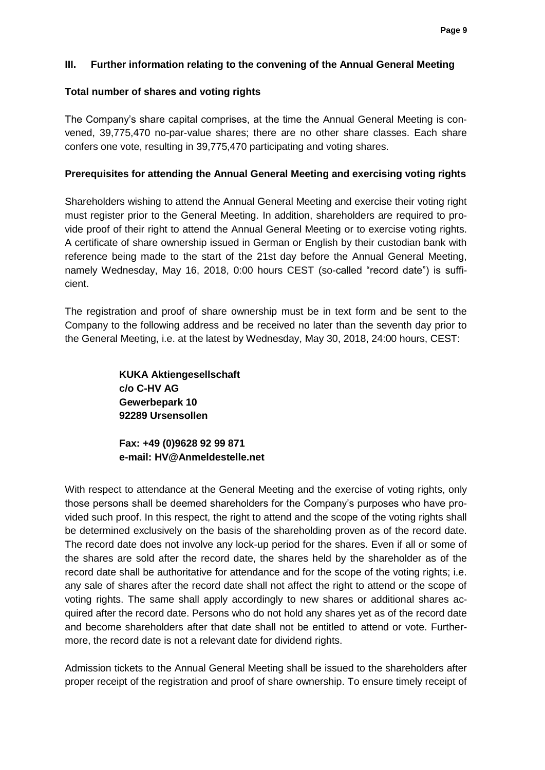## **III. Further information relating to the convening of the Annual General Meeting**

### **Total number of shares and voting rights**

The Company's share capital comprises, at the time the Annual General Meeting is convened, 39,775,470 no-par-value shares; there are no other share classes. Each share confers one vote, resulting in 39,775,470 participating and voting shares.

### **Prerequisites for attending the Annual General Meeting and exercising voting rights**

Shareholders wishing to attend the Annual General Meeting and exercise their voting right must register prior to the General Meeting. In addition, shareholders are required to provide proof of their right to attend the Annual General Meeting or to exercise voting rights. A certificate of share ownership issued in German or English by their custodian bank with reference being made to the start of the 21st day before the Annual General Meeting, namely Wednesday, May 16, 2018, 0:00 hours CEST (so-called "record date") is sufficient.

The registration and proof of share ownership must be in text form and be sent to the Company to the following address and be received no later than the seventh day prior to the General Meeting, i.e. at the latest by Wednesday, May 30, 2018, 24:00 hours, CEST:

> **KUKA Aktiengesellschaft c/o C-HV AG Gewerbepark 10 92289 Ursensollen**

**Fax: +49 (0)9628 92 99 871 e-mail: [HV@Anmeldestelle.net](mailto:HV@Anmeldestelle.net)**

With respect to attendance at the General Meeting and the exercise of voting rights, only those persons shall be deemed shareholders for the Company's purposes who have provided such proof. In this respect, the right to attend and the scope of the voting rights shall be determined exclusively on the basis of the shareholding proven as of the record date. The record date does not involve any lock-up period for the shares. Even if all or some of the shares are sold after the record date, the shares held by the shareholder as of the record date shall be authoritative for attendance and for the scope of the voting rights; i.e. any sale of shares after the record date shall not affect the right to attend or the scope of voting rights. The same shall apply accordingly to new shares or additional shares acquired after the record date. Persons who do not hold any shares yet as of the record date and become shareholders after that date shall not be entitled to attend or vote. Furthermore, the record date is not a relevant date for dividend rights.

Admission tickets to the Annual General Meeting shall be issued to the shareholders after proper receipt of the registration and proof of share ownership. To ensure timely receipt of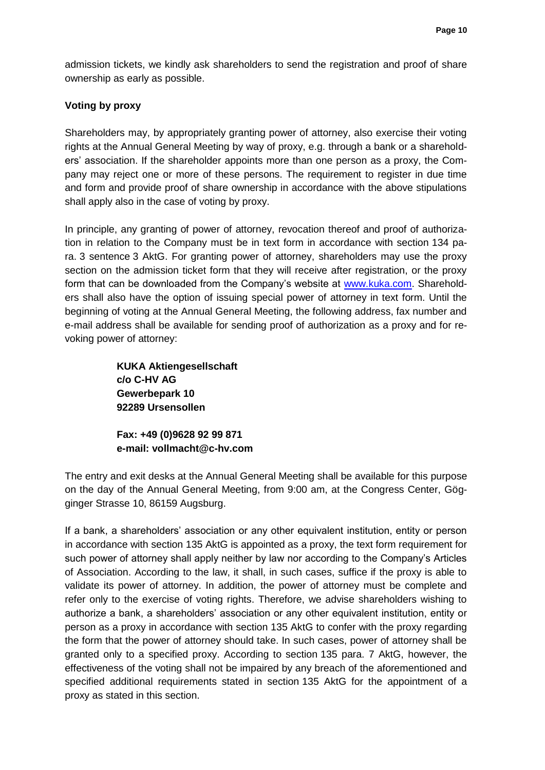admission tickets, we kindly ask shareholders to send the registration and proof of share ownership as early as possible.

## **Voting by proxy**

Shareholders may, by appropriately granting power of attorney, also exercise their voting rights at the Annual General Meeting by way of proxy, e.g. through a bank or a shareholders' association. If the shareholder appoints more than one person as a proxy, the Company may reject one or more of these persons. The requirement to register in due time and form and provide proof of share ownership in accordance with the above stipulations shall apply also in the case of voting by proxy.

In principle, any granting of power of attorney, revocation thereof and proof of authorization in relation to the Company must be in text form in accordance with section 134 para. 3 sentence 3 AktG. For granting power of attorney, shareholders may use the proxy section on the admission ticket form that they will receive after registration, or the proxy form that can be downloaded from the Company's website at [www.kuka.com.](http://www.kuka.com/) Shareholders shall also have the option of issuing special power of attorney in text form. Until the beginning of voting at the Annual General Meeting, the following address, fax number and e-mail address shall be available for sending proof of authorization as a proxy and for revoking power of attorney:

> **KUKA Aktiengesellschaft c/o C-HV AG Gewerbepark 10 92289 Ursensollen**

**Fax: +49 (0)9628 92 99 871 e-mail: vollmacht@c-hv.com**

The entry and exit desks at the Annual General Meeting shall be available for this purpose on the day of the Annual General Meeting, from 9:00 am, at the Congress Center, Gögginger Strasse 10, 86159 Augsburg.

If a bank, a shareholders' association or any other equivalent institution, entity or person in accordance with section 135 AktG is appointed as a proxy, the text form requirement for such power of attorney shall apply neither by law nor according to the Company's Articles of Association. According to the law, it shall, in such cases, suffice if the proxy is able to validate its power of attorney. In addition, the power of attorney must be complete and refer only to the exercise of voting rights. Therefore, we advise shareholders wishing to authorize a bank, a shareholders' association or any other equivalent institution, entity or person as a proxy in accordance with section 135 AktG to confer with the proxy regarding the form that the power of attorney should take. In such cases, power of attorney shall be granted only to a specified proxy. According to section 135 para. 7 AktG, however, the effectiveness of the voting shall not be impaired by any breach of the aforementioned and specified additional requirements stated in section 135 AktG for the appointment of a proxy as stated in this section.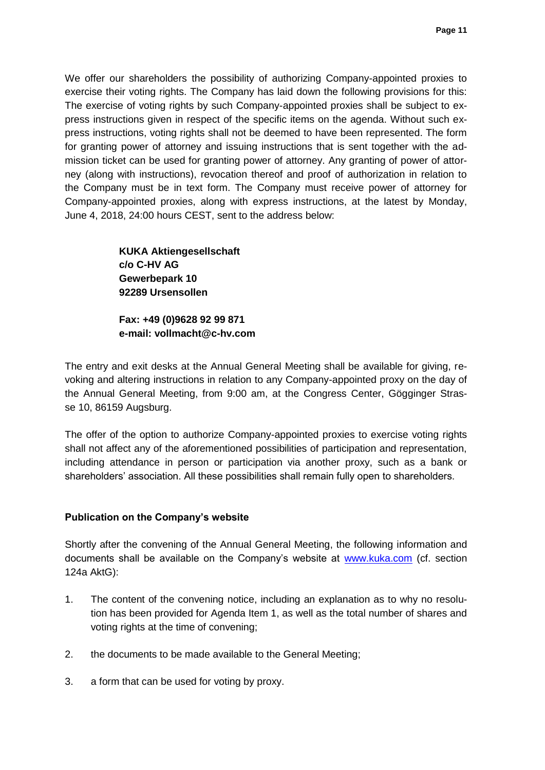We offer our shareholders the possibility of authorizing Company-appointed proxies to exercise their voting rights. The Company has laid down the following provisions for this: The exercise of voting rights by such Company-appointed proxies shall be subject to express instructions given in respect of the specific items on the agenda. Without such express instructions, voting rights shall not be deemed to have been represented. The form for granting power of attorney and issuing instructions that is sent together with the admission ticket can be used for granting power of attorney. Any granting of power of attorney (along with instructions), revocation thereof and proof of authorization in relation to the Company must be in text form. The Company must receive power of attorney for Company-appointed proxies, along with express instructions, at the latest by Monday, June 4, 2018, 24:00 hours CEST, sent to the address below:

> **KUKA Aktiengesellschaft c/o C-HV AG Gewerbepark 10 92289 Ursensollen**

**Fax: +49 (0)9628 92 99 871 e-mail: vollmacht@c-hv.com**

The entry and exit desks at the Annual General Meeting shall be available for giving, revoking and altering instructions in relation to any Company-appointed proxy on the day of the Annual General Meeting, from 9:00 am, at the Congress Center, Gögginger Strasse 10, 86159 Augsburg.

The offer of the option to authorize Company-appointed proxies to exercise voting rights shall not affect any of the aforementioned possibilities of participation and representation, including attendance in person or participation via another proxy, such as a bank or shareholders' association. All these possibilities shall remain fully open to shareholders.

## **Publication on the Company's website**

Shortly after the convening of the Annual General Meeting, the following information and documents shall be available on the Company's website at [www.kuka.com](http://www.kuka.com/) (cf. section 124a AktG):

- 1. The content of the convening notice, including an explanation as to why no resolution has been provided for Agenda Item 1, as well as the total number of shares and voting rights at the time of convening;
- 2. the documents to be made available to the General Meeting;
- 3. a form that can be used for voting by proxy.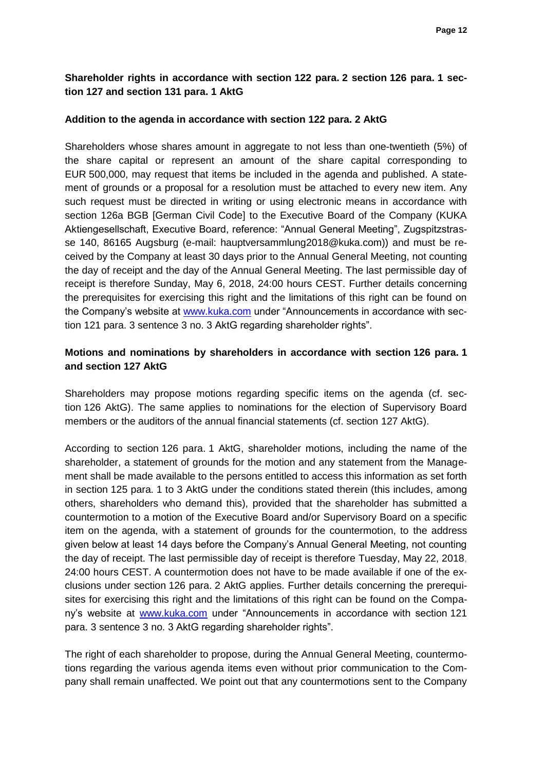# **Shareholder rights in accordance with section 122 para. 2 section 126 para. 1 section 127 and section 131 para. 1 AktG**

### **Addition to the agenda in accordance with section 122 para. 2 AktG**

Shareholders whose shares amount in aggregate to not less than one-twentieth (5%) of the share capital or represent an amount of the share capital corresponding to EUR 500,000, may request that items be included in the agenda and published. A statement of grounds or a proposal for a resolution must be attached to every new item. Any such request must be directed in writing or using electronic means in accordance with section 126a BGB [German Civil Code] to the Executive Board of the Company (KUKA Aktiengesellschaft, Executive Board, reference: "Annual General Meeting", Zugspitzstrasse 140, 86165 Augsburg (e-mail: hauptversammlung2018@kuka.com)) and must be received by the Company at least 30 days prior to the Annual General Meeting, not counting the day of receipt and the day of the Annual General Meeting. The last permissible day of receipt is therefore Sunday, May 6, 2018, 24:00 hours CEST. Further details concerning the prerequisites for exercising this right and the limitations of this right can be found on the Company's website at [www.kuka.com](http://www.kuka.com/) under "Announcements in accordance with section 121 para. 3 sentence 3 no. 3 AktG regarding shareholder rights".

## **Motions and nominations by shareholders in accordance with section 126 para. 1 and section 127 AktG**

Shareholders may propose motions regarding specific items on the agenda (cf. section 126 AktG). The same applies to nominations for the election of Supervisory Board members or the auditors of the annual financial statements (cf. section 127 AktG).

According to section 126 para. 1 AktG, shareholder motions, including the name of the shareholder, a statement of grounds for the motion and any statement from the Management shall be made available to the persons entitled to access this information as set forth in section 125 para. 1 to 3 AktG under the conditions stated therein (this includes, among others, shareholders who demand this), provided that the shareholder has submitted a countermotion to a motion of the Executive Board and/or Supervisory Board on a specific item on the agenda, with a statement of grounds for the countermotion, to the address given below at least 14 days before the Company's Annual General Meeting, not counting the day of receipt. The last permissible day of receipt is therefore Tuesday, May 22, 2018, 24:00 hours CEST. A countermotion does not have to be made available if one of the exclusions under section 126 para. 2 AktG applies. Further details concerning the prerequisites for exercising this right and the limitations of this right can be found on the Company's website at [www.kuka.com](http://www.kuka.com/) under "Announcements in accordance with section 121 para. 3 sentence 3 no. 3 AktG regarding shareholder rights".

The right of each shareholder to propose, during the Annual General Meeting, countermotions regarding the various agenda items even without prior communication to the Company shall remain unaffected. We point out that any countermotions sent to the Company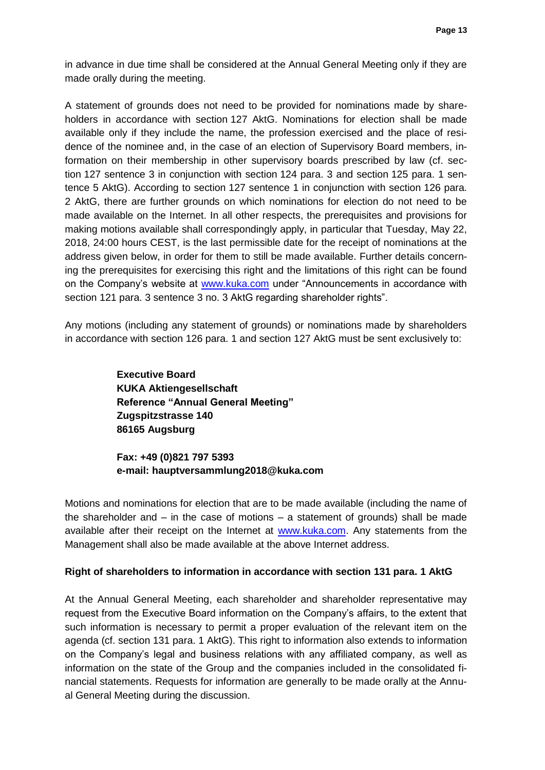in advance in due time shall be considered at the Annual General Meeting only if they are made orally during the meeting.

A statement of grounds does not need to be provided for nominations made by shareholders in accordance with section 127 AktG. Nominations for election shall be made available only if they include the name, the profession exercised and the place of residence of the nominee and, in the case of an election of Supervisory Board members, information on their membership in other supervisory boards prescribed by law (cf. section 127 sentence 3 in conjunction with section 124 para. 3 and section 125 para. 1 sentence 5 AktG). According to section 127 sentence 1 in conjunction with section 126 para. 2 AktG, there are further grounds on which nominations for election do not need to be made available on the Internet. In all other respects, the prerequisites and provisions for making motions available shall correspondingly apply, in particular that Tuesday, May 22, 2018, 24:00 hours CEST, is the last permissible date for the receipt of nominations at the address given below, in order for them to still be made available. Further details concerning the prerequisites for exercising this right and the limitations of this right can be found on the Company's website at [www.kuka.com](http://www.kuka.com/) under "Announcements in accordance with section 121 para. 3 sentence 3 no. 3 AktG regarding shareholder rights".

Any motions (including any statement of grounds) or nominations made by shareholders in accordance with section 126 para. 1 and section 127 AktG must be sent exclusively to:

> **Executive Board KUKA Aktiengesellschaft Reference "Annual General Meeting" Zugspitzstrasse 140 86165 Augsburg**

**Fax: +49 (0)821 797 5393 e-mail: hauptversammlung2018@kuka.com**

Motions and nominations for election that are to be made available (including the name of the shareholder and  $-$  in the case of motions  $-$  a statement of grounds) shall be made available after their receipt on the Internet at [www.kuka.com.](http://www.kuka.com/) Any statements from the Management shall also be made available at the above Internet address.

## **Right of shareholders to information in accordance with section 131 para. 1 AktG**

At the Annual General Meeting, each shareholder and shareholder representative may request from the Executive Board information on the Company's affairs, to the extent that such information is necessary to permit a proper evaluation of the relevant item on the agenda (cf. section 131 para. 1 AktG). This right to information also extends to information on the Company's legal and business relations with any affiliated company, as well as information on the state of the Group and the companies included in the consolidated financial statements. Requests for information are generally to be made orally at the Annual General Meeting during the discussion.